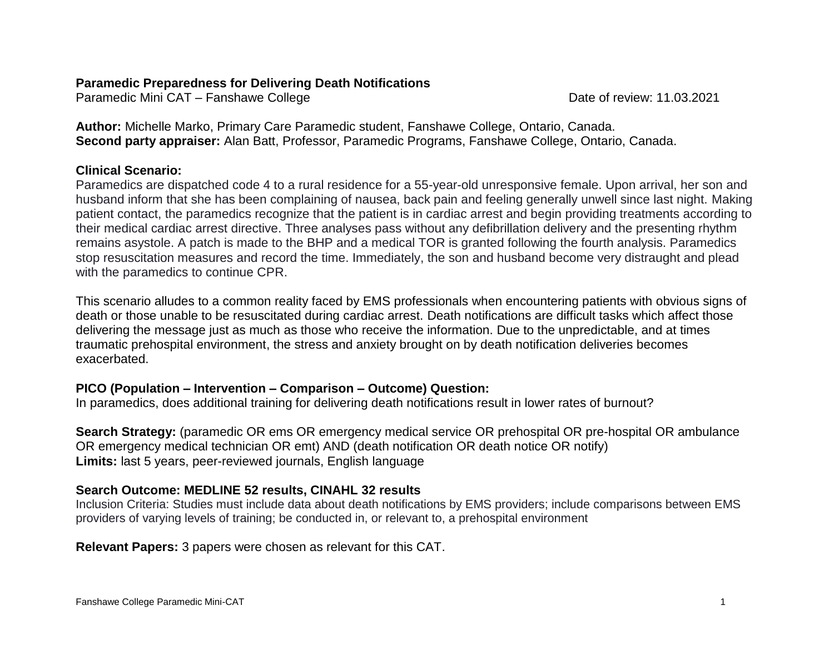# **Paramedic Preparedness for Delivering Death Notifications**

Paramedic Mini CAT – Fanshawe College Date of review: 11.03.2021

**Author:** Michelle Marko, Primary Care Paramedic student, Fanshawe College, Ontario, Canada. **Second party appraiser:** Alan Batt, Professor, Paramedic Programs, Fanshawe College, Ontario, Canada.

## **Clinical Scenario:**

Paramedics are dispatched code 4 to a rural residence for a 55-year-old unresponsive female. Upon arrival, her son and husband inform that she has been complaining of nausea, back pain and feeling generally unwell since last night. Making patient contact, the paramedics recognize that the patient is in cardiac arrest and begin providing treatments according to their medical cardiac arrest directive. Three analyses pass without any defibrillation delivery and the presenting rhythm remains asystole. A patch is made to the BHP and a medical TOR is granted following the fourth analysis. Paramedics stop resuscitation measures and record the time. Immediately, the son and husband become very distraught and plead with the paramedics to continue CPR.

This scenario alludes to a common reality faced by EMS professionals when encountering patients with obvious signs of death or those unable to be resuscitated during cardiac arrest. Death notifications are difficult tasks which affect those delivering the message just as much as those who receive the information. Due to the unpredictable, and at times traumatic prehospital environment, the stress and anxiety brought on by death notification deliveries becomes exacerbated.

# **PICO (Population – Intervention – Comparison – Outcome) Question:**

In paramedics, does additional training for delivering death notifications result in lower rates of burnout?

**Search Strategy:** (paramedic OR ems OR emergency medical service OR prehospital OR pre-hospital OR ambulance OR emergency medical technician OR emt) AND (death notification OR death notice OR notify) **Limits:** last 5 years, peer-reviewed journals, English language

# **Search Outcome: MEDLINE 52 results, CINAHL 32 results**

Inclusion Criteria: Studies must include data about death notifications by EMS providers; include comparisons between EMS providers of varying levels of training; be conducted in, or relevant to, a prehospital environment

**Relevant Papers:** 3 papers were chosen as relevant for this CAT.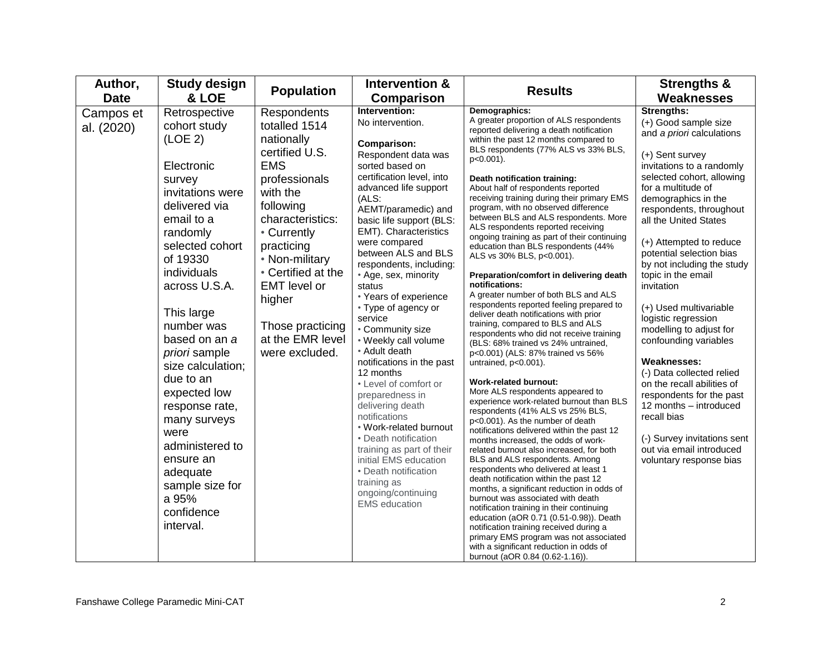| Author,                 | <b>Study design</b>                                                                                                                                                                                                                                                                                                                                                                                                                                                     | <b>Population</b>                                                                                                                                                                                                                                                                                        | Intervention &                                                                                                                                                                                                                                                                                                                                                                                                                                                                                                                                                                                                                                                                                                                                                                             | <b>Results</b>                                                                                                                                                                                                                                                                                                                                                                                                                                                                                                                                                                                                                                                                                                                                                                                                                                                                                                                                                                                                                                                                                                                                                                                                                                                                                                                                                                                                                                                                                                                                                                                                                                                                                                                               | <b>Strengths &amp;</b>                                                                                                                                                                                                                                                                                                                                                                                                                                                                                                                                                                                                                                                                                                  |
|-------------------------|-------------------------------------------------------------------------------------------------------------------------------------------------------------------------------------------------------------------------------------------------------------------------------------------------------------------------------------------------------------------------------------------------------------------------------------------------------------------------|----------------------------------------------------------------------------------------------------------------------------------------------------------------------------------------------------------------------------------------------------------------------------------------------------------|--------------------------------------------------------------------------------------------------------------------------------------------------------------------------------------------------------------------------------------------------------------------------------------------------------------------------------------------------------------------------------------------------------------------------------------------------------------------------------------------------------------------------------------------------------------------------------------------------------------------------------------------------------------------------------------------------------------------------------------------------------------------------------------------|----------------------------------------------------------------------------------------------------------------------------------------------------------------------------------------------------------------------------------------------------------------------------------------------------------------------------------------------------------------------------------------------------------------------------------------------------------------------------------------------------------------------------------------------------------------------------------------------------------------------------------------------------------------------------------------------------------------------------------------------------------------------------------------------------------------------------------------------------------------------------------------------------------------------------------------------------------------------------------------------------------------------------------------------------------------------------------------------------------------------------------------------------------------------------------------------------------------------------------------------------------------------------------------------------------------------------------------------------------------------------------------------------------------------------------------------------------------------------------------------------------------------------------------------------------------------------------------------------------------------------------------------------------------------------------------------------------------------------------------------|-------------------------------------------------------------------------------------------------------------------------------------------------------------------------------------------------------------------------------------------------------------------------------------------------------------------------------------------------------------------------------------------------------------------------------------------------------------------------------------------------------------------------------------------------------------------------------------------------------------------------------------------------------------------------------------------------------------------------|
| <b>Date</b>             | & LOE                                                                                                                                                                                                                                                                                                                                                                                                                                                                   |                                                                                                                                                                                                                                                                                                          | <b>Comparison</b>                                                                                                                                                                                                                                                                                                                                                                                                                                                                                                                                                                                                                                                                                                                                                                          |                                                                                                                                                                                                                                                                                                                                                                                                                                                                                                                                                                                                                                                                                                                                                                                                                                                                                                                                                                                                                                                                                                                                                                                                                                                                                                                                                                                                                                                                                                                                                                                                                                                                                                                                              | Weaknesses                                                                                                                                                                                                                                                                                                                                                                                                                                                                                                                                                                                                                                                                                                              |
| Campos et<br>al. (2020) | Retrospective<br>cohort study<br>(LOE <sub>2</sub> )<br>Electronic<br>survey<br>invitations were<br>delivered via<br>email to a<br>randomly<br>selected cohort<br>of 19330<br>individuals<br>across U.S.A.<br>This large<br>number was<br>based on an a<br>priori sample<br>size calculation;<br>due to an<br>expected low<br>response rate,<br>many surveys<br>were<br>administered to<br>ensure an<br>adequate<br>sample size for<br>a 95%<br>confidence<br>interval. | Respondents<br>totalled 1514<br>nationally<br>certified U.S.<br><b>EMS</b><br>professionals<br>with the<br>following<br>characteristics:<br>• Currently<br>practicing<br>• Non-military<br>• Certified at the<br><b>EMT</b> level or<br>higher<br>Those practicing<br>at the EMR level<br>were excluded. | Intervention:<br>No intervention.<br>Comparison:<br>Respondent data was<br>sorted based on<br>certification level, into<br>advanced life support<br>(ALS:<br>AEMT/paramedic) and<br>basic life support (BLS:<br>EMT). Characteristics<br>were compared<br>between ALS and BLS<br>respondents, including:<br>• Age, sex, minority<br>status<br>• Years of experience<br>• Type of agency or<br>service<br>• Community size<br>• Weekly call volume<br>• Adult death<br>notifications in the past<br>12 months<br>• Level of comfort or<br>preparedness in<br>delivering death<br>notifications<br>• Work-related burnout<br>• Death notification<br>training as part of their<br>initial EMS education<br>• Death notification<br>training as<br>ongoing/continuing<br><b>EMS</b> education | Demographics:<br>A greater proportion of ALS respondents<br>reported delivering a death notification<br>within the past 12 months compared to<br>BLS respondents (77% ALS vs 33% BLS,<br>p<0.001).<br>Death notification training:<br>About half of respondents reported<br>receiving training during their primary EMS<br>program, with no observed difference<br>between BLS and ALS respondents. More<br>ALS respondents reported receiving<br>ongoing training as part of their continuing<br>education than BLS respondents (44%<br>ALS vs 30% BLS, p<0.001).<br>Preparation/comfort in delivering death<br>notifications:<br>A greater number of both BLS and ALS<br>respondents reported feeling prepared to<br>deliver death notifications with prior<br>training, compared to BLS and ALS<br>respondents who did not receive training<br>(BLS: 68% trained vs 24% untrained,<br>p<0.001) (ALS: 87% trained vs 56%<br>untrained, p<0.001).<br><b>Work-related burnout:</b><br>More ALS respondents appeared to<br>experience work-related burnout than BLS<br>respondents (41% ALS vs 25% BLS,<br>p<0.001). As the number of death<br>notifications delivered within the past 12<br>months increased, the odds of work-<br>related burnout also increased, for both<br>BLS and ALS respondents. Among<br>respondents who delivered at least 1<br>death notification within the past 12<br>months, a significant reduction in odds of<br>burnout was associated with death<br>notification training in their continuing<br>education (aOR 0.71 (0.51-0.98)). Death<br>notification training received during a<br>primary EMS program was not associated<br>with a significant reduction in odds of<br>burnout (aOR 0.84 (0.62-1.16)). | Strengths:<br>(+) Good sample size<br>and a priori calculations<br>(+) Sent survey<br>invitations to a randomly<br>selected cohort, allowing<br>for a multitude of<br>demographics in the<br>respondents, throughout<br>all the United States<br>(+) Attempted to reduce<br>potential selection bias<br>by not including the study<br>topic in the email<br>invitation<br>(+) Used multivariable<br>logistic regression<br>modelling to adjust for<br>confounding variables<br><b>Weaknesses:</b><br>(-) Data collected relied<br>on the recall abilities of<br>respondents for the past<br>12 months - introduced<br>recall bias<br>(-) Survey invitations sent<br>out via email introduced<br>voluntary response bias |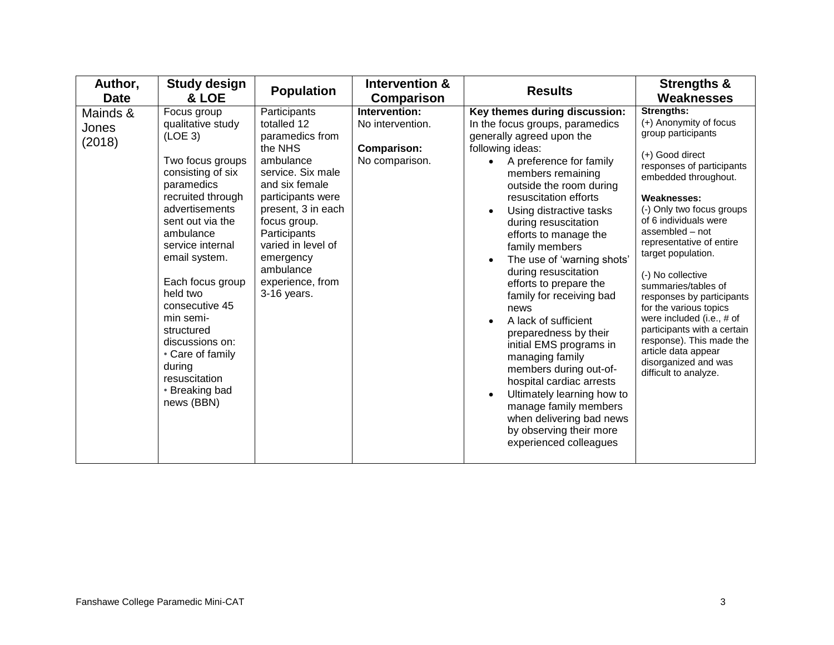| Author,<br><b>Date</b>      | <b>Study design</b><br>& LOE                                                                                                                                                                                                                                                                                                                                                                               | <b>Population</b>                                                                                                                                                                                                                                                           | Intervention &<br>Comparison                                              | <b>Results</b>                                                                                                                                                                                                                                                                                                                                                                                                                                                                                                                                                                                                                                                                                                                                                                           | <b>Strengths &amp;</b><br>Weaknesses                                                                                                                                                                                                                                                                                                                                                                                                                                                                                                                   |
|-----------------------------|------------------------------------------------------------------------------------------------------------------------------------------------------------------------------------------------------------------------------------------------------------------------------------------------------------------------------------------------------------------------------------------------------------|-----------------------------------------------------------------------------------------------------------------------------------------------------------------------------------------------------------------------------------------------------------------------------|---------------------------------------------------------------------------|------------------------------------------------------------------------------------------------------------------------------------------------------------------------------------------------------------------------------------------------------------------------------------------------------------------------------------------------------------------------------------------------------------------------------------------------------------------------------------------------------------------------------------------------------------------------------------------------------------------------------------------------------------------------------------------------------------------------------------------------------------------------------------------|--------------------------------------------------------------------------------------------------------------------------------------------------------------------------------------------------------------------------------------------------------------------------------------------------------------------------------------------------------------------------------------------------------------------------------------------------------------------------------------------------------------------------------------------------------|
| Mainds &<br>Jones<br>(2018) | Focus group<br>qualitative study<br>(LOE <sub>3</sub> )<br>Two focus groups<br>consisting of six<br>paramedics<br>recruited through<br>advertisements<br>sent out via the<br>ambulance<br>service internal<br>email system.<br>Each focus group<br>held two<br>consecutive 45<br>min semi-<br>structured<br>discussions on:<br>• Care of family<br>during<br>resuscitation<br>• Breaking bad<br>news (BBN) | Participants<br>totalled 12<br>paramedics from<br>the NHS<br>ambulance<br>service. Six male<br>and six female<br>participants were<br>present, 3 in each<br>focus group.<br>Participants<br>varied in level of<br>emergency<br>ambulance<br>experience, from<br>3-16 years. | Intervention:<br>No intervention.<br><b>Comparison:</b><br>No comparison. | Key themes during discussion:<br>In the focus groups, paramedics<br>generally agreed upon the<br>following ideas:<br>A preference for family<br>members remaining<br>outside the room during<br>resuscitation efforts<br>Using distractive tasks<br>$\bullet$<br>during resuscitation<br>efforts to manage the<br>family members<br>The use of 'warning shots'<br>$\bullet$<br>during resuscitation<br>efforts to prepare the<br>family for receiving bad<br>news<br>A lack of sufficient<br>$\bullet$<br>preparedness by their<br>initial EMS programs in<br>managing family<br>members during out-of-<br>hospital cardiac arrests<br>Ultimately learning how to<br>$\bullet$<br>manage family members<br>when delivering bad news<br>by observing their more<br>experienced colleagues | <b>Strengths:</b><br>(+) Anonymity of focus<br>group participants<br>(+) Good direct<br>responses of participants<br>embedded throughout.<br>Weaknesses:<br>(-) Only two focus groups<br>of 6 individuals were<br>assembled - not<br>representative of entire<br>target population.<br>(-) No collective<br>summaries/tables of<br>responses by participants<br>for the various topics<br>were included (i.e., # of<br>participants with a certain<br>response). This made the<br>article data appear<br>disorganized and was<br>difficult to analyze. |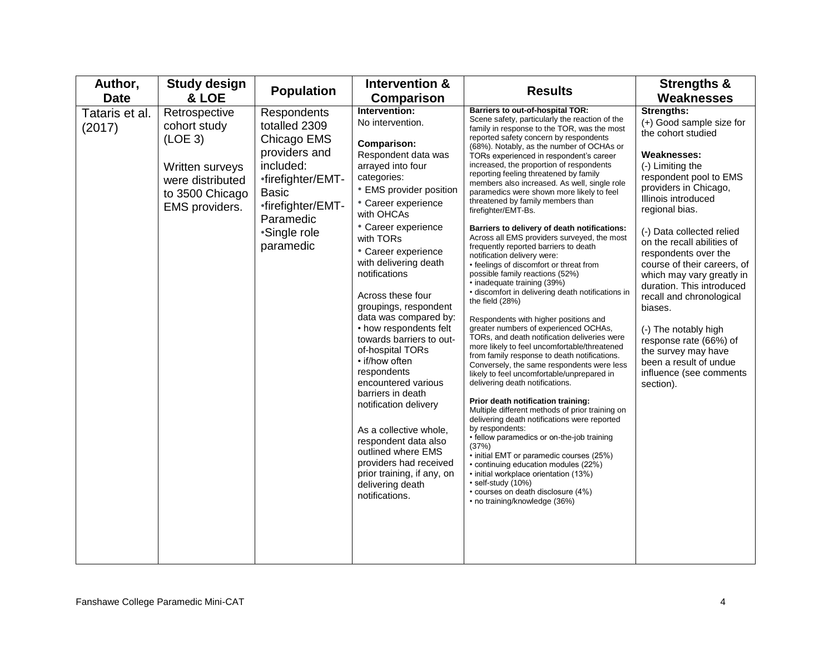| Author,<br><b>Date</b>   | <b>Study design</b><br>& LOE                                                                                                     | <b>Population</b>                                                                                                                                                             | Intervention &<br><b>Comparison</b>                                                                                                                                                                                                                                                                                                                                                                                                                                                                                                                                                                                                                                                                           | <b>Results</b>                                                                                                                                                                                                                                                                                                                                                                                                                                                                                                                                                                                                                                                                                                                                                                                                                                                                                                                                                                                                                                                                                                                                                                                                                                                                                                                                                                                                                                                                                                                                                                                                                                                                                 | <b>Strengths &amp;</b><br><b>Weaknesses</b>                                                                                                                                                                                                                                                                                                                                                                                                                                                                                                                      |
|--------------------------|----------------------------------------------------------------------------------------------------------------------------------|-------------------------------------------------------------------------------------------------------------------------------------------------------------------------------|---------------------------------------------------------------------------------------------------------------------------------------------------------------------------------------------------------------------------------------------------------------------------------------------------------------------------------------------------------------------------------------------------------------------------------------------------------------------------------------------------------------------------------------------------------------------------------------------------------------------------------------------------------------------------------------------------------------|------------------------------------------------------------------------------------------------------------------------------------------------------------------------------------------------------------------------------------------------------------------------------------------------------------------------------------------------------------------------------------------------------------------------------------------------------------------------------------------------------------------------------------------------------------------------------------------------------------------------------------------------------------------------------------------------------------------------------------------------------------------------------------------------------------------------------------------------------------------------------------------------------------------------------------------------------------------------------------------------------------------------------------------------------------------------------------------------------------------------------------------------------------------------------------------------------------------------------------------------------------------------------------------------------------------------------------------------------------------------------------------------------------------------------------------------------------------------------------------------------------------------------------------------------------------------------------------------------------------------------------------------------------------------------------------------|------------------------------------------------------------------------------------------------------------------------------------------------------------------------------------------------------------------------------------------------------------------------------------------------------------------------------------------------------------------------------------------------------------------------------------------------------------------------------------------------------------------------------------------------------------------|
| Tataris et al.<br>(2017) | Retrospective<br>cohort study<br>(LOE <sub>3</sub> )<br>Written surveys<br>were distributed<br>to 3500 Chicago<br>EMS providers. | Respondents<br>totalled 2309<br>Chicago EMS<br>providers and<br>included:<br>•firefighter/EMT-<br><b>Basic</b><br>•firefighter/EMT-<br>Paramedic<br>*Single role<br>paramedic | Intervention:<br>No intervention.<br>Comparison:<br>Respondent data was<br>arrayed into four<br>categories:<br>• EMS provider position<br>• Career experience<br>with OHCAs<br>• Career experience<br>with TORs<br>• Career experience<br>with delivering death<br>notifications<br>Across these four<br>groupings, respondent<br>data was compared by:<br>• how respondents felt<br>towards barriers to out-<br>of-hospital TORs<br>• if/how often<br>respondents<br>encountered various<br>barriers in death<br>notification delivery<br>As a collective whole,<br>respondent data also<br>outlined where EMS<br>providers had received<br>prior training, if any, on<br>delivering death<br>notifications. | Barriers to out-of-hospital TOR:<br>Scene safety, particularly the reaction of the<br>family in response to the TOR, was the most<br>reported safety concern by respondents<br>(68%). Notably, as the number of OCHAs or<br>TORs experienced in respondent's career<br>increased, the proportion of respondents<br>reporting feeling threatened by family<br>members also increased. As well, single role<br>paramedics were shown more likely to feel<br>threatened by family members than<br>firefighter/EMT-Bs.<br>Barriers to delivery of death notifications:<br>Across all EMS providers surveyed, the most<br>frequently reported barriers to death<br>notification delivery were:<br>• feelings of discomfort or threat from<br>possible family reactions (52%)<br>• inadequate training (39%)<br>• discomfort in delivering death notifications in<br>the field $(28%)$<br>Respondents with higher positions and<br>greater numbers of experienced OCHAs,<br>TORs, and death notification deliveries were<br>more likely to feel uncomfortable/threatened<br>from family response to death notifications.<br>Conversely, the same respondents were less<br>likely to feel uncomfortable/unprepared in<br>delivering death notifications.<br>Prior death notification training:<br>Multiple different methods of prior training on<br>delivering death notifications were reported<br>by respondents:<br>• fellow paramedics or on-the-job training<br>(37%)<br>• initial EMT or paramedic courses (25%)<br>• continuing education modules (22%)<br>• initial workplace orientation (13%)<br>· self-study (10%)<br>• courses on death disclosure (4%)<br>• no training/knowledge (36%) | Strengths:<br>(+) Good sample size for<br>the cohort studied<br><b>Weaknesses:</b><br>(-) Limiting the<br>respondent pool to EMS<br>providers in Chicago,<br>Illinois introduced<br>regional bias.<br>(-) Data collected relied<br>on the recall abilities of<br>respondents over the<br>course of their careers, of<br>which may vary greatly in<br>duration. This introduced<br>recall and chronological<br>biases.<br>(-) The notably high<br>response rate (66%) of<br>the survey may have<br>been a result of undue<br>influence (see comments<br>section). |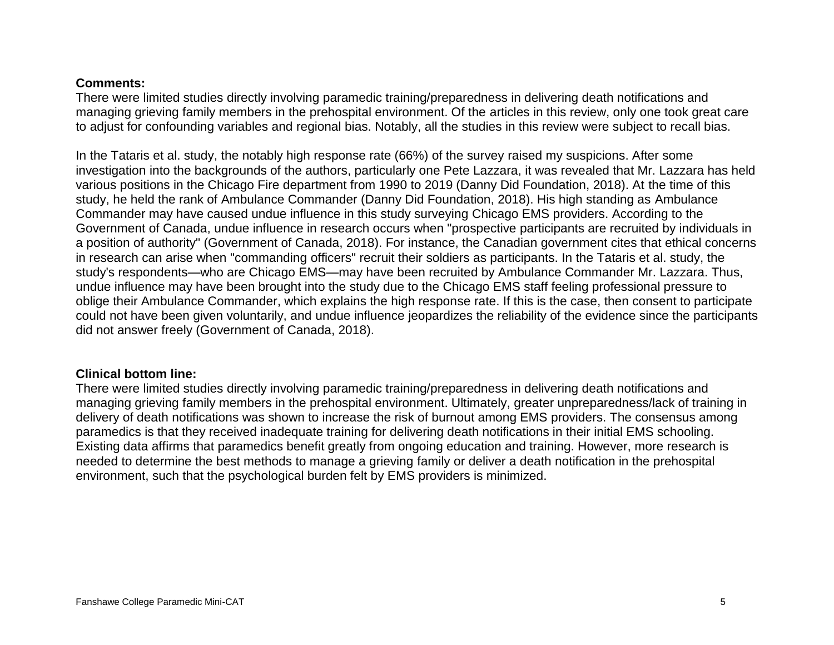### **Comments:**

There were limited studies directly involving paramedic training/preparedness in delivering death notifications and managing grieving family members in the prehospital environment. Of the articles in this review, only one took great care to adjust for confounding variables and regional bias. Notably, all the studies in this review were subject to recall bias.

In the Tataris et al. study, the notably high response rate (66%) of the survey raised my suspicions. After some investigation into the backgrounds of the authors, particularly one Pete Lazzara, it was revealed that Mr. Lazzara has held various positions in the Chicago Fire department from 1990 to 2019 (Danny Did Foundation, 2018). At the time of this study, he held the rank of Ambulance Commander (Danny Did Foundation, 2018). His high standing as Ambulance Commander may have caused undue influence in this study surveying Chicago EMS providers. According to the Government of Canada, undue influence in research occurs when "prospective participants are recruited by individuals in a position of authority" (Government of Canada, 2018). For instance, the Canadian government cites that ethical concerns in research can arise when "commanding officers" recruit their soldiers as participants. In the Tataris et al. study, the study's respondents—who are Chicago EMS—may have been recruited by Ambulance Commander Mr. Lazzara. Thus, undue influence may have been brought into the study due to the Chicago EMS staff feeling professional pressure to oblige their Ambulance Commander, which explains the high response rate. If this is the case, then consent to participate could not have been given voluntarily, and undue influence jeopardizes the reliability of the evidence since the participants did not answer freely (Government of Canada, 2018).

## **Clinical bottom line:**

There were limited studies directly involving paramedic training/preparedness in delivering death notifications and managing grieving family members in the prehospital environment. Ultimately, greater unpreparedness/lack of training in delivery of death notifications was shown to increase the risk of burnout among EMS providers. The consensus among paramedics is that they received inadequate training for delivering death notifications in their initial EMS schooling. Existing data affirms that paramedics benefit greatly from ongoing education and training. However, more research is needed to determine the best methods to manage a grieving family or deliver a death notification in the prehospital environment, such that the psychological burden felt by EMS providers is minimized.